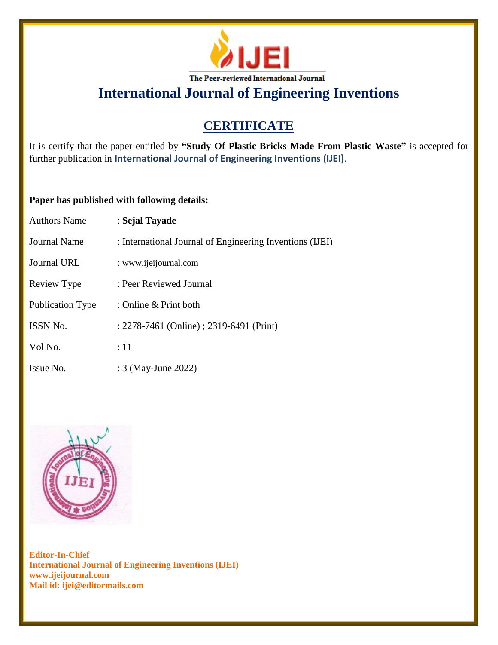

# **International Journal of Engineering Inventions**

## **CERTIFICATE**

It is certify that the paper entitled by **"Study Of Plastic Bricks Made From Plastic Waste"** is accepted for further publication in **International Journal of Engineering Inventions (IJEI)**.

### **Paper has published with following details:**

| <b>Authors Name</b>     | : Sejal Tayade                                           |
|-------------------------|----------------------------------------------------------|
| <b>Journal Name</b>     | : International Journal of Engineering Inventions (IJEI) |
| <b>Journal URL</b>      | : www.ijeijournal.com                                    |
| Review Type             | : Peer Reviewed Journal                                  |
| <b>Publication Type</b> | : Online & Print both                                    |
| ISSN No.                | : 2278-7461 (Online) ; 2319-6491 (Print)                 |
| Vol No.                 | $\div 11$                                                |
| Issue No.               | : 3 (May-June 2022)                                      |



**Editor-In-Chief International Journal of Engineering Inventions (IJEI) www.ijeijournal.com Mail id: ijei@editormails.com**